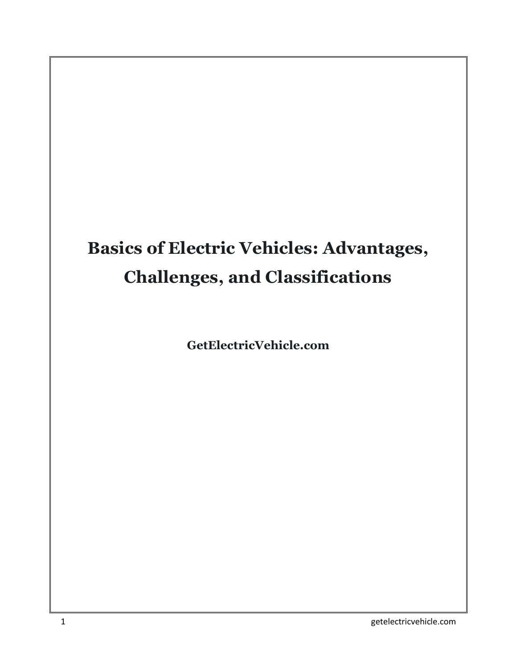### **Basics of Electric Vehicles: Advantages, Challenges, and Classifications**

**GetElectricVehicle.com**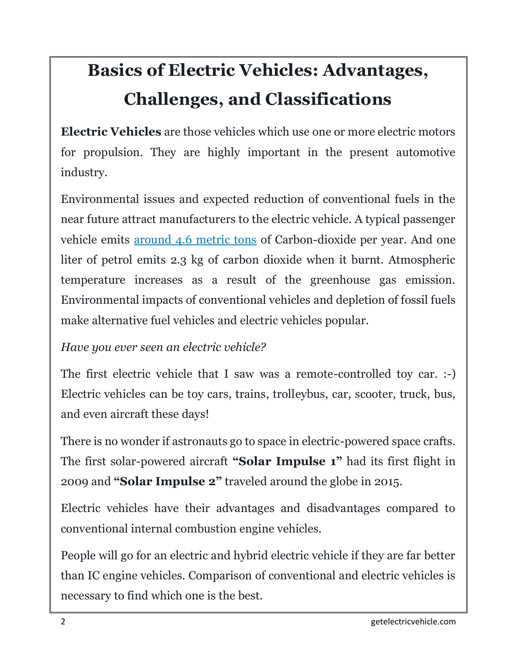### **Basics of Electric Vehicles: Advantages, Challenges, and Classifications**

**Electric Vehicles** are those vehicles which use one or more electric motors for propulsion. They are highly important in the present automotive industry.

Environmental issues and expected reduction of conventional fuels in the near future attract manufacturers to the electric vehicle. A typical passenger vehicle emits [around 4.6 metric tons](https://www.epa.gov/greenvehicles/greenhouse-gas-emissions-typical-passenger-vehicle) of Carbon-dioxide per year. And one liter of petrol emits 2.3 kg of carbon dioxide when it burnt. Atmospheric temperature increases as a result of the greenhouse gas emission. Environmental impacts of conventional vehicles and depletion of fossil fuels make alternative fuel vehicles and electric vehicles popular.

*Have you ever seen an electric vehicle?*

The first electric vehicle that I saw was a remote-controlled toy car. :-) Electric vehicles can be toy cars, trains, trolleybus, car, scooter, truck, bus, and even aircraft these days!

There is no wonder if astronauts go to space in electric-powered space crafts. The first solar-powered aircraft **"Solar Impulse 1"** had its first flight in 2009 and **"Solar Impulse 2"** traveled around the globe in 2015.

Electric vehicles have their advantages and disadvantages compared to conventional internal combustion engine vehicles.

People will go for an electric and hybrid electric vehicle if they are far better than IC engine vehicles. Comparison of conventional and electric vehicles is necessary to find which one is the best.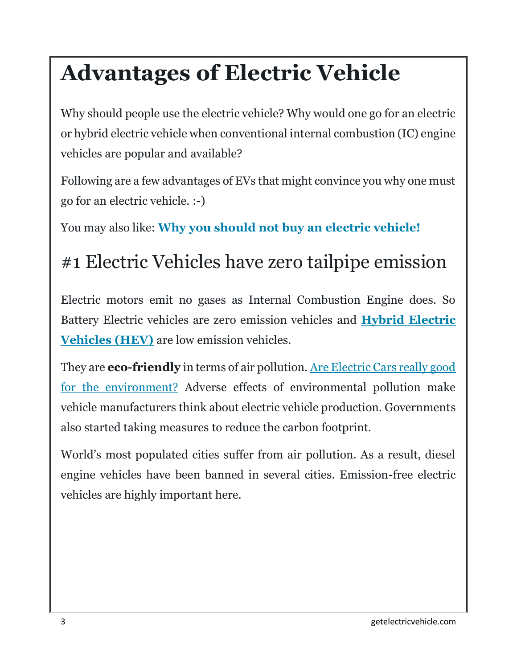## **Advantages of Electric Vehicle**

Why should people use the electric vehicle? Why would one go for an electric or hybrid electric vehicle when conventional internal combustion (IC) engine vehicles are popular and available?

Following are a few advantages of EVs that might convince you why one must go for an electric vehicle. :-)

You may also like: **[Why you should not buy an electric vehicle!](https://getelectricvehicle.com/why-you-shouldnt-buy-an-electric-car-disadvantages-of-electric-car/)**

### #1 Electric Vehicles have zero tailpipe emission

Electric motors emit no gases as Internal Combustion Engine does. So Battery Electric vehicles are zero emission vehicles and **[Hybrid Electric](http://getelectricvehicle.com/what-is-a-hybrid-car/)  [Vehicles \(HEV\)](http://getelectricvehicle.com/what-is-a-hybrid-car/)** are low emission vehicles.

They are **eco-friendly** in terms of air pollution. [Are Electric Cars really good](http://getelectricvehicle.com/are-electric-cars-good-for-environment/)  [for the environment?](http://getelectricvehicle.com/are-electric-cars-good-for-environment/) Adverse effects of environmental pollution make vehicle manufacturers think about electric vehicle production. Governments also started taking measures to reduce the carbon footprint.

World's most populated cities suffer from air pollution. As a result, diesel engine vehicles have been banned in several cities. Emission-free electric vehicles are highly important here.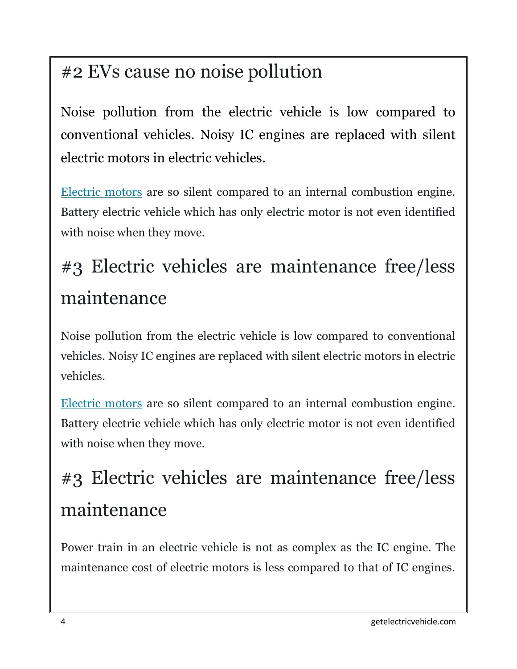### #2 EVs cause no noise pollution

Noise pollution from the electric vehicle is low compared to conventional vehicles. Noisy IC engines are replaced with silent electric motors in electric vehicles.

[Electric motors](http://getelectricvehicle.com/electric-vehicle-motors/) are so silent compared to an internal combustion engine. Battery electric vehicle which has only electric motor is not even identified with noise when they move.

## #3 Electric vehicles are maintenance free/less maintenance

Noise pollution from the electric vehicle is low compared to conventional vehicles. Noisy IC engines are replaced with silent electric motors in electric vehicles.

[Electric motors](http://getelectricvehicle.com/electric-vehicle-motors/) are so silent compared to an internal combustion engine. Battery electric vehicle which has only electric motor is not even identified with noise when they move.

## #3 Electric vehicles are maintenance free/less maintenance

Power train in an electric vehicle is not as complex as the IC engine. The maintenance cost of electric motors is less compared to that of IC engines.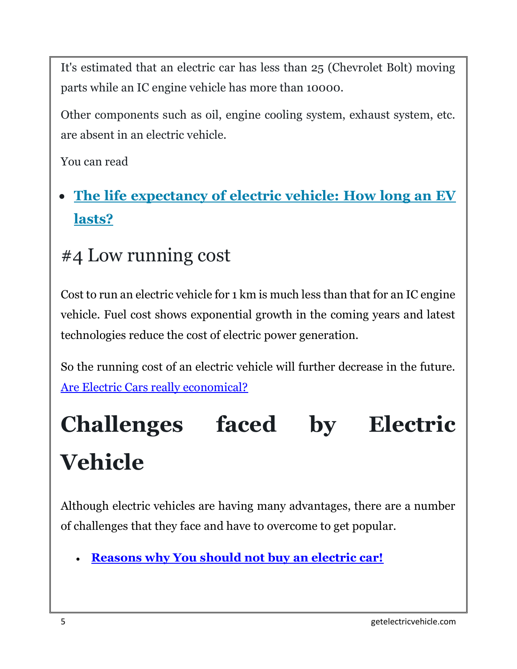It's estimated that an electric car has less than 25 (Chevrolet Bolt) moving parts while an IC engine vehicle has more than 10000.

Other components such as oil, engine cooling system, exhaust system, etc. are absent in an electric vehicle.

You can read

#### **[The life expectancy of electric vehicle: How long an EV](https://getelectricvehicle.com/electric-car-parts-life-expectancy-how-long-an-ev-lasts/)  [lasts?](https://getelectricvehicle.com/electric-car-parts-life-expectancy-how-long-an-ev-lasts/)**

#### #4 Low running cost

Cost to run an electric vehicle for 1 km is much less than that for an IC engine vehicle. Fuel cost shows exponential growth in the coming years and latest technologies reduce the cost of electric power generation.

So the running cost of an electric vehicle will further decrease in the future. [Are Electric Cars really economical?](http://getelectricvehicle.com/economics-electric-cars/)

# **Challenges faced by Electric Vehicle**

Although electric vehicles are having many advantages, there are a number of challenges that they face and have to overcome to get popular.

**[Reasons why You should not buy an electric car!](https://getelectricvehicle.com/why-you-shouldnt-buy-an-electric-car-disadvantages-of-electric-car/)**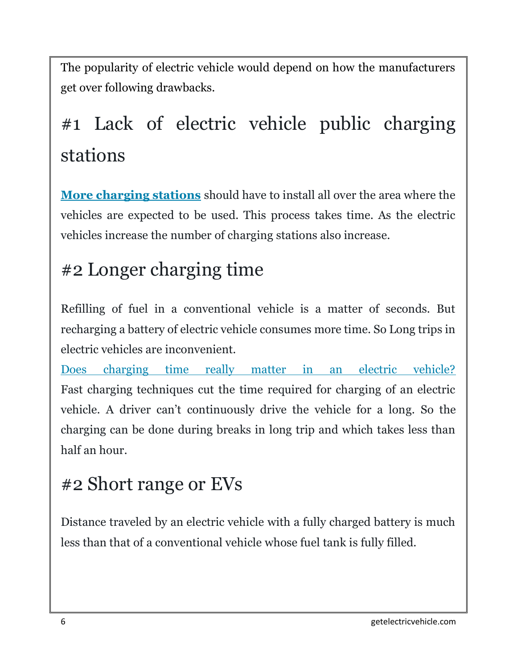The popularity of electric vehicle would depend on how the manufacturers get over following drawbacks.

## #1 Lack of electric vehicle public charging stations

**[More charging stations](http://getelectricvehicle.com/charging-stations/)** should have to install all over the area where the vehicles are expected to be used. This process takes time. As the electric vehicles increase the number of charging stations also increase.

#### #2 Longer charging time

Refilling of fuel in a conventional vehicle is a matter of seconds. But recharging a battery of electric vehicle consumes more time. So Long trips in electric vehicles are inconvenient.

[Does charging time really matter in an electric vehicle?](https://getelectricvehicle.com/charging-time/) Fast charging techniques cut the time required for charging of an electric vehicle. A driver can't continuously drive the vehicle for a long. So the charging can be done during breaks in long trip and which takes less than half an hour.

### #2 Short range or EVs

Distance traveled by an electric vehicle with a fully charged battery is much less than that of a conventional vehicle whose fuel tank is fully filled.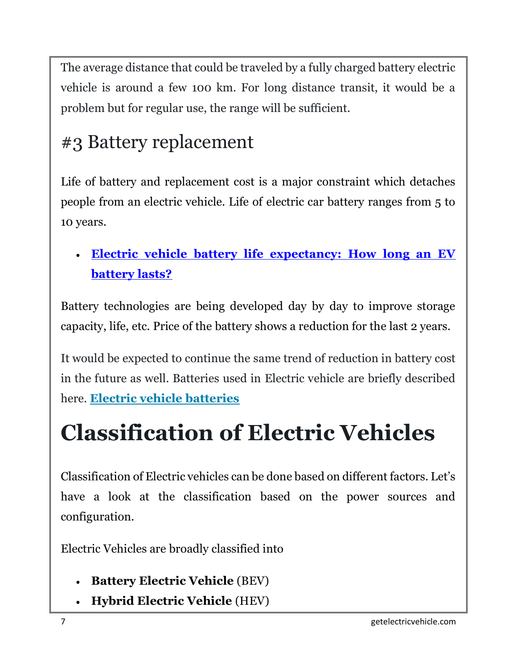The average distance that could be traveled by a fully charged battery electric vehicle is around a few 100 km. For long distance transit, it would be a problem but for regular use, the range will be sufficient.

#### #3 Battery replacement

Life of battery and replacement cost is a major constraint which detaches people from an electric vehicle. Life of electric car battery ranges from 5 to 10 years.

 **[Electric vehicle battery life expectancy: How long an EV](https://getelectricvehicle.com/electric-car-battery-life-expectancy/)  [battery lasts?](https://getelectricvehicle.com/electric-car-battery-life-expectancy/)**

Battery technologies are being developed day by day to improve storage capacity, life, etc. Price of the battery shows a reduction for the last 2 years.

It would be expected to continue the same trend of reduction in battery cost in the future as well. Batteries used in Electric vehicle are briefly described here. **[Electric vehicle batteries](https://getelectricvehicle.com/electric-vehicle-battery/)**

## **Classification of Electric Vehicles**

Classification of Electric vehicles can be done based on different factors. Let's have a look at the classification based on the power sources and configuration.

Electric Vehicles are broadly classified into

- **Battery Electric Vehicle** (BEV)
- **Hybrid Electric Vehicle** (HEV)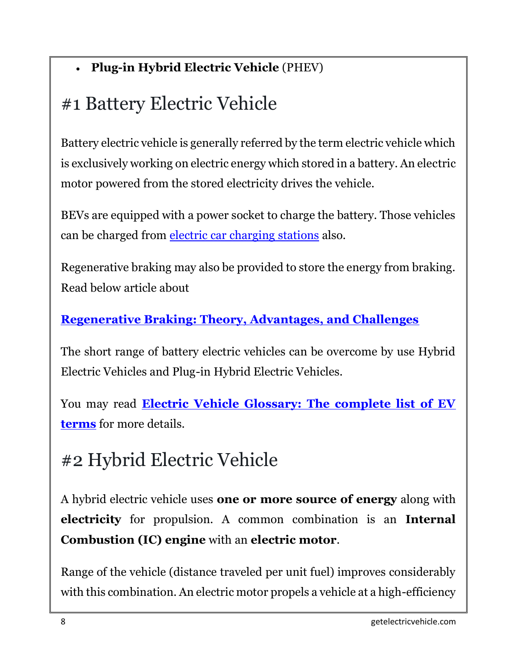#### **Plug-in Hybrid Electric Vehicle** (PHEV)

### #1 Battery Electric Vehicle

Battery electric vehicle is generally referred by the term electric vehicle which is exclusively working on electric energy which stored in a battery. An electric motor powered from the stored electricity drives the vehicle.

BEVs are equipped with a power socket to charge the battery. Those vehicles can be charged from [electric car charging stations](http://getelectricvehicle.com/charging-stations/) also.

Regenerative braking may also be provided to store the energy from braking. Read below article about

#### **[Regenerative Braking: Theory, Advantages, and Challenges](http://getelectricvehicle.com/what-is-regenerative-braking-of-electric-vehicle-theory-advantages-and-challenges/)**

The short range of battery electric vehicles can be overcome by use Hybrid Electric Vehicles and Plug-in Hybrid Electric Vehicles.

You may read **[Electric Vehicle Glossary: The complete list of EV](https://getelectricvehicle.com/electric-vehicle-glossary/)  [terms](https://getelectricvehicle.com/electric-vehicle-glossary/)** for more details.

### #2 Hybrid Electric Vehicle

A hybrid electric vehicle uses **one or more source of energy** along with **electricity** for propulsion. A common combination is an **Internal Combustion (IC) engine** with an **electric motor**.

Range of the vehicle (distance traveled per unit fuel) improves considerably with this combination. An electric motor propels a vehicle at a high-efficiency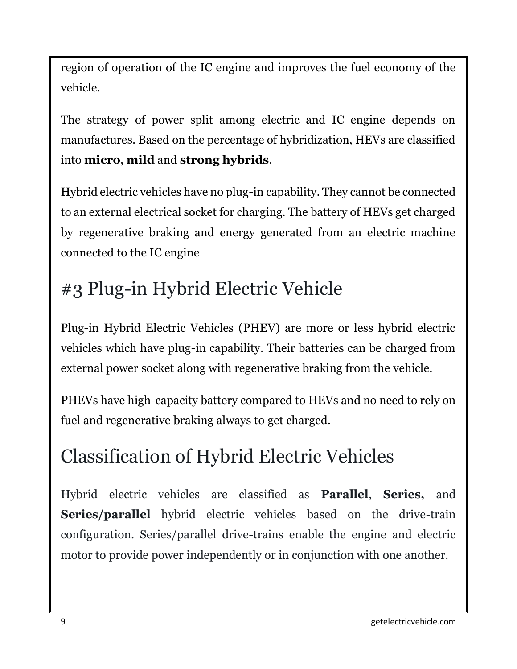region of operation of the IC engine and improves the fuel economy of the vehicle.

The strategy of power split among electric and IC engine depends on manufactures. Based on the percentage of hybridization, HEVs are classified into **micro**, **mild** and **strong hybrids**.

Hybrid electric vehicles have no plug-in capability. They cannot be connected to an external electrical socket for charging. The battery of HEVs get charged by regenerative braking and energy generated from an electric machine connected to the IC engine

### #3 Plug-in Hybrid Electric Vehicle

Plug-in Hybrid Electric Vehicles (PHEV) are more or less hybrid electric vehicles which have plug-in capability. Their batteries can be charged from external power socket along with regenerative braking from the vehicle.

PHEVs have high-capacity battery compared to HEVs and no need to rely on fuel and regenerative braking always to get charged.

### Classification of Hybrid Electric Vehicles

Hybrid electric vehicles are classified as **Parallel**, **Series,** and **Series/parallel** hybrid electric vehicles based on the drive-train configuration. Series/parallel drive-trains enable the engine and electric motor to provide power independently or in conjunction with one another.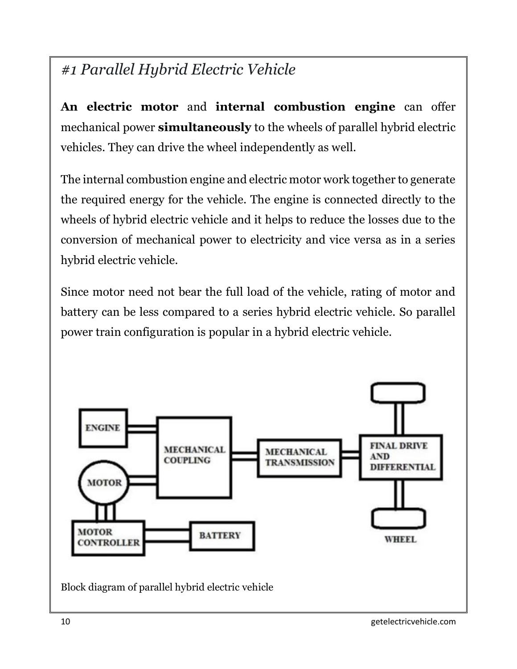#### *#1 Parallel Hybrid Electric Vehicle*

**An electric motor** and **internal combustion engine** can offer mechanical power **simultaneously** to the wheels of parallel hybrid electric vehicles. They can drive the wheel independently as well.

The internal combustion engine and electric motor work together to generate the required energy for the vehicle. The engine is connected directly to the wheels of hybrid electric vehicle and it helps to reduce the losses due to the conversion of mechanical power to electricity and vice versa as in a series hybrid electric vehicle.

Since motor need not bear the full load of the vehicle, rating of motor and battery can be less compared to a series hybrid electric vehicle. So parallel power train configuration is popular in a hybrid electric vehicle.

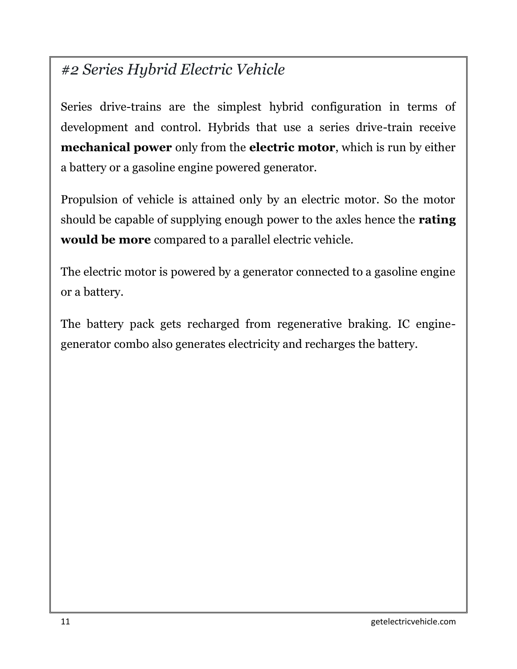#### *#2 Series Hybrid Electric Vehicle*

Series drive-trains are the simplest hybrid configuration in terms of development and control. Hybrids that use a series drive-train receive **mechanical power** only from the **electric motor**, which is run by either a battery or a gasoline engine powered generator.

Propulsion of vehicle is attained only by an electric motor. So the motor should be capable of supplying enough power to the axles hence the **rating would be more** compared to a parallel electric vehicle.

The electric motor is powered by a generator connected to a gasoline engine or a battery.

The battery pack gets recharged from regenerative braking. IC enginegenerator combo also generates electricity and recharges the battery.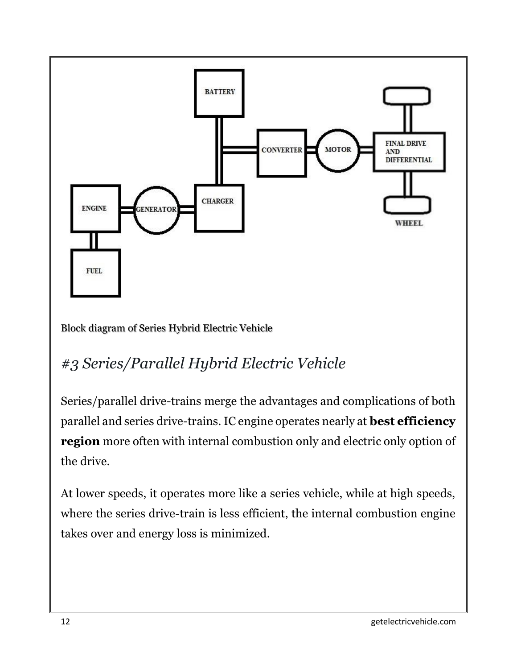

Block diagram of Series Hybrid Electric Vehicle

#### *#3 Series/Parallel Hybrid Electric Vehicle*

Series/parallel drive-trains merge the advantages and complications of both parallel and series drive-trains. IC engine operates nearly at **best efficiency region** more often with internal combustion only and electric only option of the drive.

At lower speeds, it operates more like a series vehicle, while at high speeds, where the series drive-train is less efficient, the internal combustion engine takes over and energy loss is minimized.